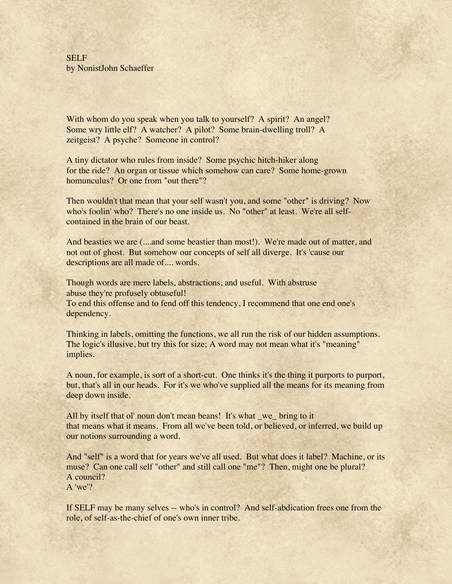SELF by NonistJohn Schaeffer

With whom do you speak when you talk to yourself? A spirit? An angel? Some wry little elf? A watcher? A pilot? Some brain-dwelling troll? A zeitgeist? A psyche? Someone in control?

A tiny dictator who rules from inside? Some psychic hitch-hiker along for the ride? An organ or tissue which somehow can care? Some home-grown homunculus? Or one from "out there"?

Then wouldn't that mean that your self wasn't you, and some "other" is driving? Now who's foolin' who? There's no one inside us. No "other" at least. We're all selfcontained in the brain of our beast.

And beasties we are (....and some beastier than most!). We're made out of matter, and not out of ghost. But somehow our concepts of self all diverge. It's 'cause our descriptions are all made of.... words.

Though words are mere labels, abstractions, and useful. With abstruse abuse they're profusely obtuseful! To end this offense and to fend off this tendency, I recommend that one end one's dependency.

Thinking in labels, omitting the functions, we all run the risk of our hidden assumptions. The logic's illusive, but try this for size; A word may not mean what it's "meaning" implies.

A noun, for example, is sort of a short-cut. One thinks it's the thing it purports to purport, but, that's all in our heads. For it's we who've supplied all the means for its meaning from deep down inside.

All by itself that ol' noun don't mean beans! It's what \_we\_ bring to it that means what it means. From all we've been told, or believed, or inferred, we build up our notions surrounding a word.

And "self" is a word that for years we've all used. But what does it label? Machine, or its muse? Can one call self "other" and still call one "me"? Then, might one be plural? A council? A 'we'?

If SELF may be many selves -- who's in control? And self-abdication frees one from the role, of self-as-the-chief of one's own inner tribe.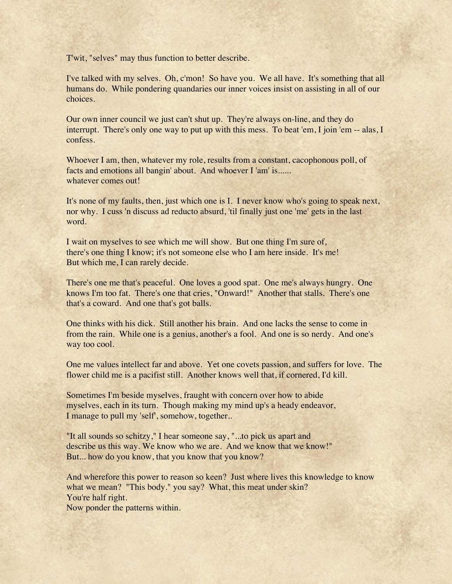T'wit, "selves" may thus function to better describe.

I've talked with my selves. Oh, c'mon! So have you. We all have. It's something that all humans do. While pondering quandaries our inner voices insist on assisting in all of our choices.

Our own inner council we just can't shut up. They're always on-line, and they do interrupt. There's only one way to put up with this mess. To beat 'em, I join 'em -- alas, I confess.

Whoever I am, then, whatever my role, results from a constant, cacophonous poll, of facts and emotions all bangin' about. And whoever I 'am' is...... whatever comes out!

It's none of my faults, then, just which one is I. I never know who's going to speak next, nor why. I cuss 'n discuss ad reducto absurd, 'til finally just one 'me' gets in the last word.

I wait on myselves to see which me will show. But one thing I'm sure of, there's one thing I know; it's not someone else who I am here inside. It's me! But which me, I can rarely decide.

There's one me that's peaceful. One loves a good spat. One me's always hungry. One knows I'm too fat. There's one that cries, "Onward!" Another that stalls. There's one that's a coward. And one that's got balls.

One thinks with his dick. Still another his brain. And one lacks the sense to come in from the rain. While one is a genius, another's a fool. And one is so nerdy. And one's way too cool.

One me values intellect far and above. Yet one covets passion, and suffers for love. The flower child me is a pacifist still. Another knows well that, if cornered, I'd kill.

Sometimes I'm beside myselves, fraught with concern over how to abide myselves, each in its turn. Though making my mind up's a heady endeavor, I manage to pull my 'self', somehow, together..

"It all sounds so schitzy," I hear someone say, "...to pick us apart and describe us this way. We know who we are. And we know that we know!" But... how do you know, that you know that you know?

And wherefore this power to reason so keen? Just where lives this knowledge to know what we mean? "This body." you say? What, this meat under skin? You're half right.

Now ponder the patterns within.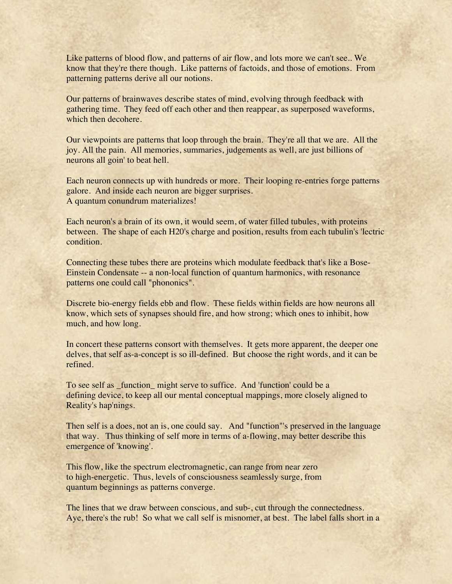Like patterns of blood flow, and patterns of air flow, and lots more we can't see.. We know that they're there though. Like patterns of factoids, and those of emotions. From patterning patterns derive all our notions.

Our patterns of brainwaves describe states of mind, evolving through feedback with gathering time. They feed off each other and then reappear, as superposed waveforms, which then decohere.

Our viewpoints are patterns that loop through the brain. They're all that we are. All the joy. All the pain. All memories, summaries, judgements as well, are just billions of neurons all goin' to beat hell.

Each neuron connects up with hundreds or more. Their looping re-entries forge patterns galore. And inside each neuron are bigger surprises. A quantum conundrum materializes!

Each neuron's a brain of its own, it would seem, of water filled tubules, with proteins between. The shape of each H20's charge and position, results from each tubulin's 'lectric condition.

Connecting these tubes there are proteins which modulate feedback that's like a Bose-Einstein Condensate -- a non-local function of quantum harmonics, with resonance patterns one could call "phononics".

Discrete bio-energy fields ebb and flow. These fields within fields are how neurons all know, which sets of synapses should fire, and how strong; which ones to inhibit, how much, and how long.

In concert these patterns consort with themselves. It gets more apparent, the deeper one delves, that self as-a-concept is so ill-defined. But choose the right words, and it can be refined.

To see self as \_function\_ might serve to suffice. And 'function' could be a defining device, to keep all our mental conceptual mappings, more closely aligned to Reality's hap'nings.

Then self is a does, not an is, one could say. And "function"'s preserved in the language that way. Thus thinking of self more in terms of a-flowing, may better describe this emergence of 'knowing'.

This flow, like the spectrum electromagnetic, can range from near zero to high-energetic. Thus, levels of consciousness seamlessly surge, from quantum beginnings as patterns converge.

The lines that we draw between conscious, and sub-, cut through the connectedness. Aye, there's the rub! So what we call self is misnomer, at best. The label falls short in a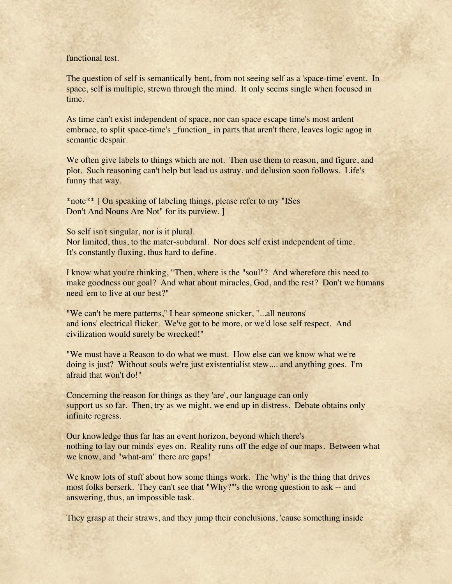## functional test.

The question of self is semantically bent, from not seeing self as a 'space-time' event. In space, self is multiple, strewn through the mind. It only seems single when focused in time.

As time can't exist independent of space, nor can space escape time's most ardent embrace, to split space-time's function in parts that aren't there, leaves logic agog in semantic despair.

We often give labels to things which are not. Then use them to reason, and figure, and plot. Such reasoning can't help but lead us astray, and delusion soon follows. Life's funny that way.

\*note\*\* [ On speaking of labeling things, please refer to my "ISes Don't And Nouns Are Not" for its purview. ]

So self isn't singular, nor is it plural. Nor limited, thus, to the mater-subdural. Nor does self exist independent of time. It's constantly fluxing, thus hard to define.

I know what you're thinking, "Then, where is the "soul"? And wherefore this need to make goodness our goal? And what about miracles, God, and the rest? Don't we humans need 'em to live at our best?"

"We can't be mere patterns," I hear someone snicker, "...all neurons' and ions' electrical flicker. We've got to be more, or we'd lose self respect. And civilization would surely be wrecked!"

"We must have a Reason to do what we must. How else can we know what we're doing is just? Without souls we're just existentialist stew.... and anything goes. I'm afraid that won't do!"

Concerning the reason for things as they 'are', our language can only support us so far. Then, try as we might, we end up in distress. Debate obtains only infinite regress.

Our knowledge thus far has an event horizon, beyond which there's nothing to lay our minds' eyes on. Reality runs off the edge of our maps. Between what we know, and "what-am" there are gaps!

We know lots of stuff about how some things work. The 'why' is the thing that drives most folks berserk. They can't see that "Why?"'s the wrong question to ask -- and answering, thus, an impossible task.

They grasp at their straws, and they jump their conclusions, 'cause something inside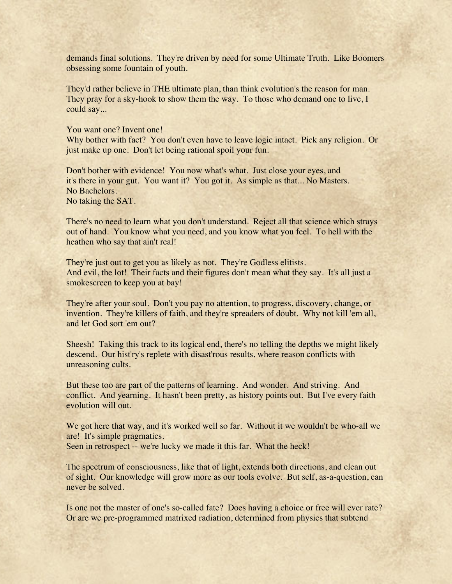demands final solutions. They're driven by need for some Ultimate Truth. Like Boomers obsessing some fountain of youth.

They'd rather believe in THE ultimate plan, than think evolution's the reason for man. They pray for a sky-hook to show them the way. To those who demand one to live, I could say...

You want one? Invent one!

Why bother with fact? You don't even have to leave logic intact. Pick any religion. Or just make up one. Don't let being rational spoil your fun.

Don't bother with evidence! You now what's what. Just close your eyes, and it's there in your gut. You want it? You got it. As simple as that... No Masters. No Bachelors. No taking the SAT.

There's no need to learn what you don't understand. Reject all that science which strays out of hand. You know what you need, and you know what you feel. To hell with the heathen who say that ain't real!

They're just out to get you as likely as not. They're Godless elitists. And evil, the lot! Their facts and their figures don't mean what they say. It's all just a smokescreen to keep you at bay!

They're after your soul. Don't you pay no attention, to progress, discovery, change, or invention. They're killers of faith, and they're spreaders of doubt. Why not kill 'em all, and let God sort 'em out?

Sheesh! Taking this track to its logical end, there's no telling the depths we might likely descend. Our hist'ry's replete with disast'rous results, where reason conflicts with unreasoning cults.

But these too are part of the patterns of learning. And wonder. And striving. And conflict. And yearning. It hasn't been pretty, as history points out. But I've every faith evolution will out.

We got here that way, and it's worked well so far. Without it we wouldn't be who-all we are! It's simple pragmatics.

Seen in retrospect -- we're lucky we made it this far. What the heck!

The spectrum of consciousness, like that of light, extends both directions, and clean out of sight. Our knowledge will grow more as our tools evolve. But self, as-a-question, can never be solved.

Is one not the master of one's so-called fate? Does having a choice or free will ever rate? Or are we pre-programmed matrixed radiation, determined from physics that subtend